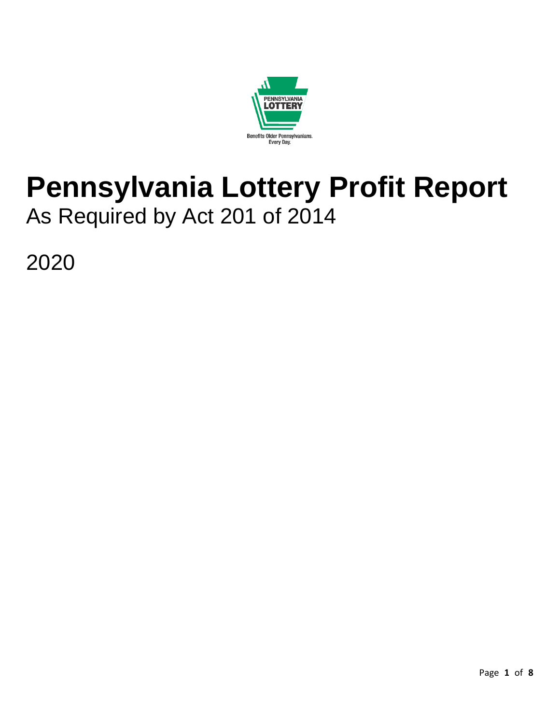

# **Pennsylvania Lottery Profit Report**  As Required by Act 201 of 2014

2020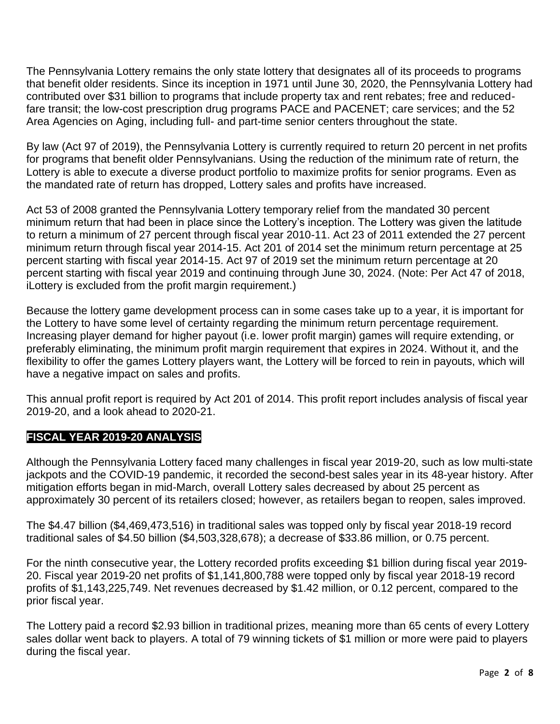The Pennsylvania Lottery remains the only state lottery that designates all of its proceeds to programs that benefit older residents. Since its inception in 1971 until June 30, 2020, the Pennsylvania Lottery had contributed over \$31 billion to programs that include property tax and rent rebates; free and reducedfare transit; the low-cost prescription drug programs PACE and PACENET; care services; and the 52 Area Agencies on Aging, including full- and part-time senior centers throughout the state.

By law (Act 97 of 2019), the Pennsylvania Lottery is currently required to return 20 percent in net profits for programs that benefit older Pennsylvanians. Using the reduction of the minimum rate of return, the Lottery is able to execute a diverse product portfolio to maximize profits for senior programs. Even as the mandated rate of return has dropped, Lottery sales and profits have increased.

Act 53 of 2008 granted the Pennsylvania Lottery temporary relief from the mandated 30 percent minimum return that had been in place since the Lottery's inception. The Lottery was given the latitude to return a minimum of 27 percent through fiscal year 2010-11. Act 23 of 2011 extended the 27 percent minimum return through fiscal year 2014-15. Act 201 of 2014 set the minimum return percentage at 25 percent starting with fiscal year 2014-15. Act 97 of 2019 set the minimum return percentage at 20 percent starting with fiscal year 2019 and continuing through June 30, 2024. (Note: Per Act 47 of 2018, iLottery is excluded from the profit margin requirement.)

Because the lottery game development process can in some cases take up to a year, it is important for the Lottery to have some level of certainty regarding the minimum return percentage requirement. Increasing player demand for higher payout (i.e. lower profit margin) games will require extending, or preferably eliminating, the minimum profit margin requirement that expires in 2024. Without it, and the flexibility to offer the games Lottery players want, the Lottery will be forced to rein in payouts, which will have a negative impact on sales and profits.

This annual profit report is required by Act 201 of 2014. This profit report includes analysis of fiscal year 2019-20, and a look ahead to 2020-21.

# **FISCAL YEAR 2019-20 ANALYSIS**

Although the Pennsylvania Lottery faced many challenges in fiscal year 2019-20, such as low multi-state jackpots and the COVID-19 pandemic, it recorded the second-best sales year in its 48-year history. After mitigation efforts began in mid-March, overall Lottery sales decreased by about 25 percent as approximately 30 percent of its retailers closed; however, as retailers began to reopen, sales improved.

The \$4.47 billion (\$4,469,473,516) in traditional sales was topped only by fiscal year 2018-19 record traditional sales of \$4.50 billion (\$4,503,328,678); a decrease of \$33.86 million, or 0.75 percent.

For the ninth consecutive year, the Lottery recorded profits exceeding \$1 billion during fiscal year 2019- 20. Fiscal year 2019-20 net profits of \$1,141,800,788 were topped only by fiscal year 2018-19 record profits of \$1,143,225,749. Net revenues decreased by \$1.42 million, or 0.12 percent, compared to the prior fiscal year.

The Lottery paid a record \$2.93 billion in traditional prizes, meaning more than 65 cents of every Lottery sales dollar went back to players. A total of 79 winning tickets of \$1 million or more were paid to players during the fiscal year.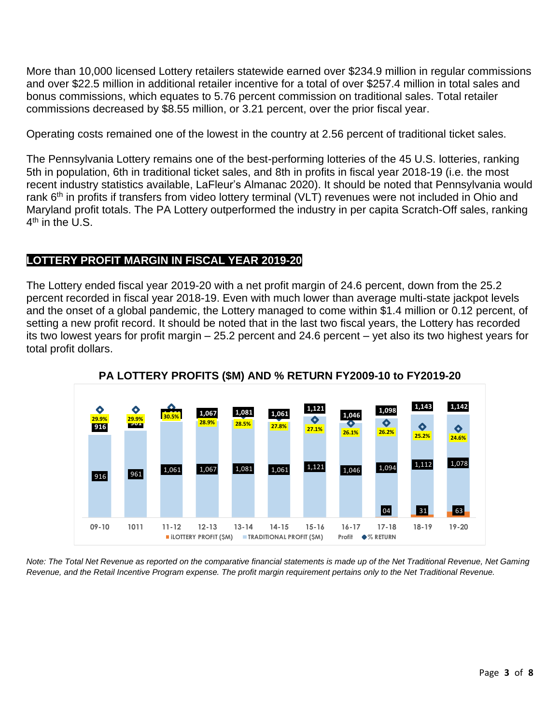More than 10,000 licensed Lottery retailers statewide earned over \$234.9 million in regular commissions and over \$22.5 million in additional retailer incentive for a total of over \$257.4 million in total sales and bonus commissions, which equates to 5.76 percent commission on traditional sales. Total retailer commissions decreased by \$8.55 million, or 3.21 percent, over the prior fiscal year.

Operating costs remained one of the lowest in the country at 2.56 percent of traditional ticket sales.

The Pennsylvania Lottery remains one of the best-performing lotteries of the 45 U.S. lotteries, ranking 5th in population, 6th in traditional ticket sales, and 8th in profits in fiscal year 2018-19 (i.e. the most recent industry statistics available, LaFleur's Almanac 2020). It should be noted that Pennsylvania would rank 6<sup>th</sup> in profits if transfers from video lottery terminal (VLT) revenues were not included in Ohio and Maryland profit totals. The PA Lottery outperformed the industry in per capita Scratch-Off sales, ranking 4<sup>th</sup> in the U.S.

# **LOTTERY PROFIT MARGIN IN FISCAL YEAR 2019-2019-2019-20**

The Lottery ended fiscal year 2019-20 with a net profit margin of 24.6 percent, down from the 25.2 percent recorded in fiscal year 2018-19. Even with much lower than average multi-state jackpot levels and the onset of a global pandemic, the Lottery managed to come within \$1.4 million or 0.12 percent, of setting a new profit record. It should be noted that in the last two fiscal years, the Lottery has recorded its two lowest years for profit margin – 25.2 percent and 24.6 percent – yet also its two highest years for total profit dollars.



**PA LOTTERY PROFITS (\$M) AND % RETURN FY2009-10 to FY2019-20**

*Note: The Total Net Revenue as reported on the comparative financial statements is made up of the Net Traditional Revenue, Net Gaming Revenue, and the Retail Incentive Program expense. The profit margin requirement pertains only to the Net Traditional Revenue.*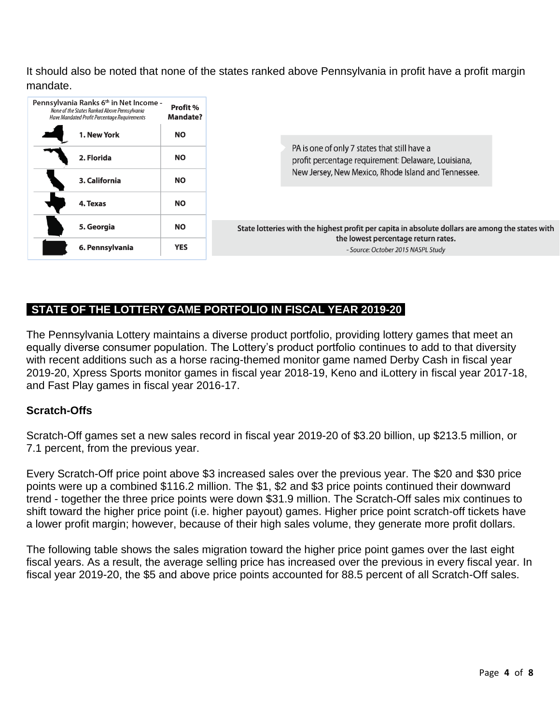It should also be noted that none of the states ranked above Pennsylvania in profit have a profit margin mandate.

| Pennsylvania Ranks 6th in Net Income -<br>None of the States Ranked Above Pennsylvania<br>Have Mandated Profit Percentage Requirements | Profit %<br><b>Mandate?</b> |                                                                                                     |  |  |  |  |
|----------------------------------------------------------------------------------------------------------------------------------------|-----------------------------|-----------------------------------------------------------------------------------------------------|--|--|--|--|
| 1. New York                                                                                                                            | <b>NO</b>                   |                                                                                                     |  |  |  |  |
| 2. Florida                                                                                                                             | <b>NO</b>                   | PA is one of only 7 states that still have a<br>profit percentage requirement: Delaware, Louisiana, |  |  |  |  |
| 3. California                                                                                                                          | <b>NO</b>                   | New Jersey, New Mexico, Rhode Island and Tennessee.                                                 |  |  |  |  |
| 4. Texas                                                                                                                               | <b>NO</b>                   |                                                                                                     |  |  |  |  |
| 5. Georgia                                                                                                                             | <b>NO</b>                   | State lotteries with the highest profit per capita in absolute dollars are among the states with    |  |  |  |  |
| 6. Pennsylvania                                                                                                                        | <b>YES</b>                  | the lowest percentage return rates.<br>- Source: October 2015 NASPL Study                           |  |  |  |  |

# **STATE OF THE LOTTERY GAME PORTFOLIO IN FISCAL YEAR 2019-20**

The Pennsylvania Lottery maintains a diverse product portfolio, providing lottery games that meet an equally diverse consumer population. The Lottery's product portfolio continues to add to that diversity with recent additions such as a horse racing-themed monitor game named Derby Cash in fiscal year 2019-20, Xpress Sports monitor games in fiscal year 2018-19, Keno and iLottery in fiscal year 2017-18, and Fast Play games in fiscal year 2016-17.

#### **Scratch-Offs**

Scratch-Off games set a new sales record in fiscal year 2019-20 of \$3.20 billion, up \$213.5 million, or 7.1 percent, from the previous year.

Every Scratch-Off price point above \$3 increased sales over the previous year. The \$20 and \$30 price points were up a combined \$116.2 million. The \$1, \$2 and \$3 price points continued their downward trend - together the three price points were down \$31.9 million. The Scratch-Off sales mix continues to shift toward the higher price point (i.e. higher payout) games. Higher price point scratch-off tickets have a lower profit margin; however, because of their high sales volume, they generate more profit dollars.

The following table shows the sales migration toward the higher price point games over the last eight fiscal years. As a result, the average selling price has increased over the previous in every fiscal year. In fiscal year 2019-20, the \$5 and above price points accounted for 88.5 percent of all Scratch-Off sales.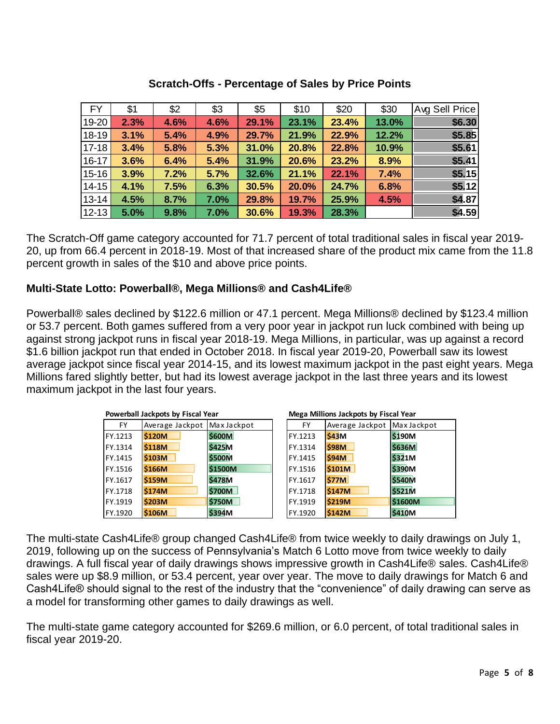| <b>FY</b>   | \$1  | \$2  | \$3  | \$5   | \$10  | \$20  | \$30  | Avg Sell Price |
|-------------|------|------|------|-------|-------|-------|-------|----------------|
| 19-20       | 2.3% | 4.6% | 4.6% | 29.1% | 23.1% | 23.4% | 13.0% | \$6.30         |
| 18-19       | 3.1% | 5.4% | 4.9% | 29.7% | 21.9% | 22.9% | 12.2% | \$5.85         |
| $17 - 18$   | 3.4% | 5.8% | 5.3% | 31.0% | 20.8% | 22.8% | 10.9% | \$5.61         |
| $16 - 17$   | 3.6% | 6.4% | 5.4% | 31.9% | 20.6% | 23.2% | 8.9%  | \$5.41         |
| $15 - 16$   | 3.9% | 7.2% | 5.7% | 32.6% | 21.1% | 22.1% | 7.4%  | \$5.15         |
| $14 - 15$   | 4.1% | 7.5% | 6.3% | 30.5% | 20.0% | 24.7% | 6.8%  | \$5.12         |
| $13 - 14$   | 4.5% | 8.7% | 7.0% | 29.8% | 19.7% | 25.9% | 4.5%  | \$4.87         |
| $ 12 - 13 $ | 5.0% | 9.8% | 7.0% | 30.6% | 19.3% | 28.3% |       | \$4.59         |

## **Scratch-Offs - Percentage of Sales by Price Points**

The Scratch-Off game category accounted for 71.7 percent of total traditional sales in fiscal year 2019- 20, up from 66.4 percent in 2018-19. Most of that increased share of the product mix came from the 11.8 percent growth in sales of the \$10 and above price points.

# **Multi-State Lotto: Powerball®, Mega Millions® and Cash4Life®**

Powerball® sales declined by \$122.6 million or 47.1 percent. Mega Millions® declined by \$123.4 million or 53.7 percent. Both games suffered from a very poor year in jackpot run luck combined with being up against strong jackpot runs in fiscal year 2018-19. Mega Millions, in particular, was up against a record \$1.6 billion jackpot run that ended in October 2018. In fiscal year 2019-20, Powerball saw its lowest average jackpot since fiscal year 2014-15, and its lowest maximum jackpot in the past eight years. Mega Millions fared slightly better, but had its lowest average jackpot in the last three years and its lowest maximum jackpot in the last four years.

| Powerball Jackpots by Fiscal Year |                 |               | Mega Millions Jackpots by Fiscal Year |           |                             |               |  |  |
|-----------------------------------|-----------------|---------------|---------------------------------------|-----------|-----------------------------|---------------|--|--|
| FY                                | Average Jackpot | Max Jackpot   |                                       | <b>FY</b> | Average Jackpot Max Jackpot |               |  |  |
| FY.1213                           | <b>\$120M</b>   | <b>\$600M</b> |                                       | FY.1213   | S43M                        | <b>S190M</b>  |  |  |
| FY.1314                           | <b>\$118M</b>   | <b>\$425M</b> |                                       | FY.1314   | <b>\$98M</b>                | <b>\$636M</b> |  |  |
| FY.1415                           | <b>S103M</b>    | <b>\$500M</b> |                                       | FY.1415   | <b>\$94M</b>                | <b>\$321M</b> |  |  |
| FY.1516                           | <b>\$166M</b>   | \$1500M       |                                       | FY.1516   | \$101M                      | <b>\$390M</b> |  |  |
| FY.1617                           | <b>S159M</b>    | <b>\$478M</b> |                                       | FY.1617   | \$77M                       | <b>\$540M</b> |  |  |
| FY.1718                           | <b>S174M</b>    | <b>\$700M</b> |                                       | FY.1718   | <b>\$147M</b>               | <b>\$521M</b> |  |  |
| FY.1919                           | <b>\$203M</b>   | <b>\$750M</b> |                                       | FY.1919   | <b>S219M</b>                | \$1600M       |  |  |
| FY.1920                           | <b>\$106M</b>   | <b>\$394M</b> |                                       | FY.1920   | \$142M                      | \$410M        |  |  |

The multi-state Cash4Life® group changed Cash4Life® from twice weekly to daily drawings on July 1, 2019, following up on the success of Pennsylvania's Match 6 Lotto move from twice weekly to daily drawings. A full fiscal year of daily drawings shows impressive growth in Cash4Life® sales. Cash4Life® sales were up \$8.9 million, or 53.4 percent, year over year. The move to daily drawings for Match 6 and Cash4Life® should signal to the rest of the industry that the "convenience" of daily drawing can serve as a model for transforming other games to daily drawings as well.

The multi-state game category accounted for \$269.6 million, or 6.0 percent, of total traditional sales in fiscal year 2019-20.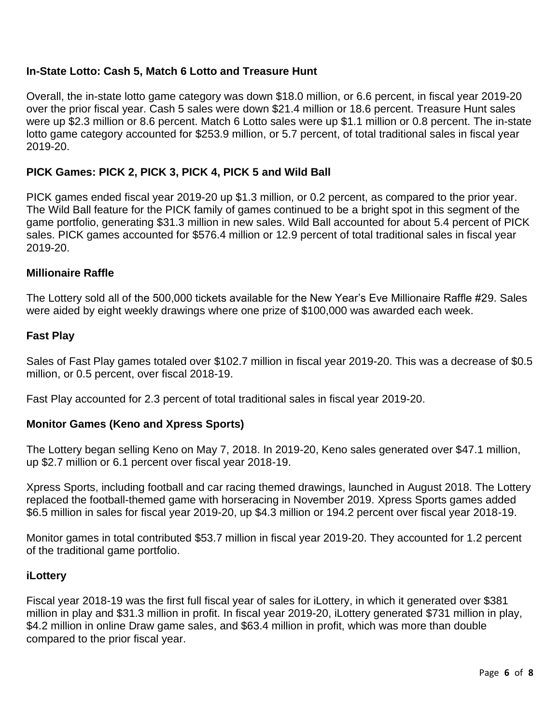## **In-State Lotto: Cash 5, Match 6 Lotto and Treasure Hunt**

Overall, the in-state lotto game category was down \$18.0 million, or 6.6 percent, in fiscal year 2019-20 over the prior fiscal year. Cash 5 sales were down \$21.4 million or 18.6 percent. Treasure Hunt sales were up \$2.3 million or 8.6 percent. Match 6 Lotto sales were up \$1.1 million or 0.8 percent. The in-state lotto game category accounted for \$253.9 million, or 5.7 percent, of total traditional sales in fiscal year 2019-20.

## **PICK Games: PICK 2, PICK 3, PICK 4, PICK 5 and Wild Ball**

PICK games ended fiscal year 2019-20 up \$1.3 million, or 0.2 percent, as compared to the prior year. The Wild Ball feature for the PICK family of games continued to be a bright spot in this segment of the game portfolio, generating \$31.3 million in new sales. Wild Ball accounted for about 5.4 percent of PICK sales. PICK games accounted for \$576.4 million or 12.9 percent of total traditional sales in fiscal year 2019-20.

#### **Millionaire Raffle**

The Lottery sold all of the 500,000 tickets available for the New Year's Eve Millionaire Raffle #29. Sales were aided by eight weekly drawings where one prize of \$100,000 was awarded each week.

#### **Fast Play**

Sales of Fast Play games totaled over \$102.7 million in fiscal year 2019-20. This was a decrease of \$0.5 million, or 0.5 percent, over fiscal 2018-19.

Fast Play accounted for 2.3 percent of total traditional sales in fiscal year 2019-20.

#### **Monitor Games (Keno and Xpress Sports)**

The Lottery began selling Keno on May 7, 2018. In 2019-20, Keno sales generated over \$47.1 million, up \$2.7 million or 6.1 percent over fiscal year 2018-19.

Xpress Sports, including football and car racing themed drawings, launched in August 2018. The Lottery replaced the football-themed game with horseracing in November 2019. Xpress Sports games added \$6.5 million in sales for fiscal year 2019-20, up \$4.3 million or 194.2 percent over fiscal year 2018-19.

Monitor games in total contributed \$53.7 million in fiscal year 2019-20. They accounted for 1.2 percent of the traditional game portfolio.

#### **iLottery**

Fiscal year 2018-19 was the first full fiscal year of sales for iLottery, in which it generated over \$381 million in play and \$31.3 million in profit. In fiscal year 2019-20, iLottery generated \$731 million in play, \$4.2 million in online Draw game sales, and \$63.4 million in profit, which was more than double compared to the prior fiscal year.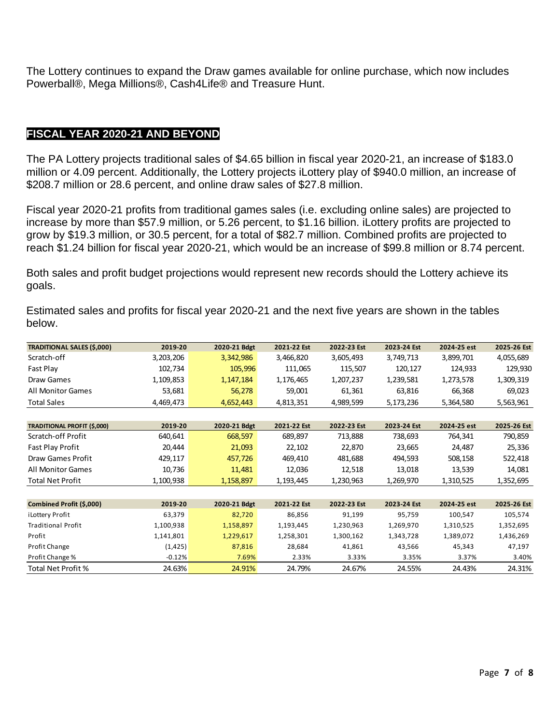The Lottery continues to expand the Draw games available for online purchase, which now includes Powerball®, Mega Millions®, Cash4Life® and Treasure Hunt.

## **FISCAL YEAR 2020-21 AND BEYOND**

The PA Lottery projects traditional sales of \$4.65 billion in fiscal year 2020-21, an increase of \$183.0 million or 4.09 percent. Additionally, the Lottery projects iLottery play of \$940.0 million, an increase of \$208.7 million or 28.6 percent, and online draw sales of \$27.8 million.

Fiscal year 2020-21 profits from traditional games sales (i.e. excluding online sales) are projected to increase by more than \$57.9 million, or 5.26 percent, to \$1.16 billion. iLottery profits are projected to grow by \$19.3 million, or 30.5 percent, for a total of \$82.7 million. Combined profits are projected to reach \$1.24 billion for fiscal year 2020-21, which would be an increase of \$99.8 million or 8.74 percent.

Both sales and profit budget projections would represent new records should the Lottery achieve its goals.

Estimated sales and profits for fiscal year 2020-21 and the next five years are shown in the tables below.

| <b>TRADITIONAL SALES (\$,000)</b>  | 2019-20   | 2020-21 Bdgt | 2021-22 Est | 2022-23 Est | 2023-24 Est | 2024-25 est | 2025-26 Est |
|------------------------------------|-----------|--------------|-------------|-------------|-------------|-------------|-------------|
| Scratch-off                        | 3,203,206 | 3,342,986    | 3,466,820   | 3,605,493   | 3,749,713   | 3,899,701   | 4,055,689   |
| Fast Play                          | 102,734   | 105,996      | 111,065     | 115,507     | 120,127     | 124,933     | 129,930     |
| Draw Games                         | 1,109,853 | 1,147,184    | 1,176,465   | 1,207,237   | 1,239,581   | 1,273,578   | 1,309,319   |
| <b>All Monitor Games</b>           | 53,681    | 56,278       | 59,001      | 61,361      | 63,816      | 66,368      | 69,023      |
| <b>Total Sales</b>                 | 4,469,473 | 4,652,443    | 4,813,351   | 4,989,599   | 5,173,236   | 5,364,580   | 5,563,961   |
|                                    |           |              |             |             |             |             |             |
| <b>TRADITIONAL PROFIT (\$,000)</b> | 2019-20   | 2020-21 Bdgt | 2021-22 Est | 2022-23 Est | 2023-24 Est | 2024-25 est | 2025-26 Est |
| Scratch-off Profit                 | 640,641   | 668,597      | 689,897     | 713,888     | 738,693     | 764,341     | 790,859     |
| Fast Play Profit                   | 20,444    | 21,093       | 22,102      | 22,870      | 23,665      | 24,487      | 25,336      |
| Draw Games Profit                  | 429,117   | 457,726      | 469,410     | 481,688     | 494,593     | 508,158     | 522,418     |
| <b>All Monitor Games</b>           | 10,736    | 11,481       | 12,036      | 12,518      | 13,018      | 13,539      | 14,081      |
| <b>Total Net Profit</b>            | 1,100,938 | 1,158,897    | 1,193,445   | 1,230,963   | 1,269,970   | 1,310,525   | 1,352,695   |
|                                    |           |              |             |             |             |             |             |
| Combined Profit (\$,000)           | 2019-20   | 2020-21 Bdgt | 2021-22 Est | 2022-23 Est | 2023-24 Est | 2024-25 est | 2025-26 Est |
| i Lottery Profit                   | 63,379    | 82,720       | 86,856      | 91,199      | 95,759      | 100,547     | 105,574     |
| <b>Traditional Profit</b>          | 1,100,938 | 1,158,897    | 1,193,445   | 1,230,963   | 1,269,970   | 1,310,525   | 1,352,695   |
| Profit                             | 1,141,801 | 1,229,617    | 1,258,301   | 1,300,162   | 1,343,728   | 1,389,072   | 1,436,269   |
| Profit Change                      | (1, 425)  | 87,816       | 28,684      | 41,861      | 43,566      | 45,343      | 47,197      |
| Profit Change %                    | $-0.12%$  | 7.69%        | 2.33%       | 3.33%       | 3.35%       | 3.37%       | 3.40%       |
| Total Net Profit %                 | 24.63%    | 24.91%       | 24.79%      | 24.67%      | 24.55%      | 24.43%      | 24.31%      |